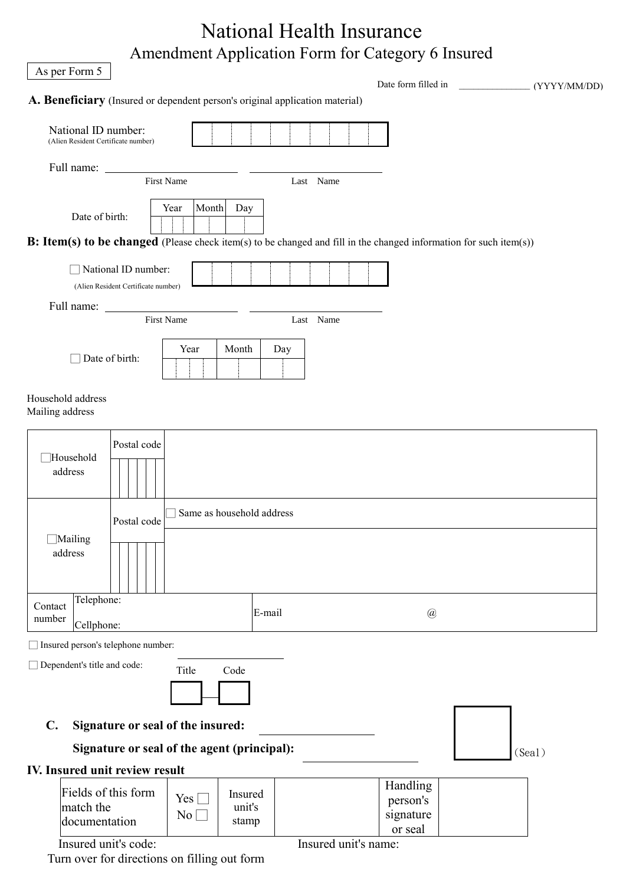| As per Form 5                                                                                                      |                                                             | <b>National Health Insurance</b><br>Amendment Application Form for Category 6 Insured |                                              |              |
|--------------------------------------------------------------------------------------------------------------------|-------------------------------------------------------------|---------------------------------------------------------------------------------------|----------------------------------------------|--------------|
| A. Beneficiary (Insured or dependent person's original application material)                                       |                                                             |                                                                                       | Date form filled in                          | (YYYY/MM/DD) |
| National ID number:<br>(Alien Resident Certificate number)                                                         |                                                             |                                                                                       |                                              |              |
| Full name:                                                                                                         | First Name                                                  | Last Name                                                                             |                                              |              |
| Date of birth:                                                                                                     | Month<br>Day<br>Year                                        |                                                                                       |                                              |              |
| B: Item(s) to be changed (Please check item(s) to be changed and fill in the changed information for such item(s)) |                                                             |                                                                                       |                                              |              |
| National ID number:<br>(Alien Resident Certificate number)                                                         |                                                             |                                                                                       |                                              |              |
|                                                                                                                    | <b>First Name</b>                                           | Last Name                                                                             |                                              |              |
| Date of birth:                                                                                                     | Month<br>Year                                               | Day                                                                                   |                                              |              |
| Household address<br>Mailing address                                                                               |                                                             |                                                                                       |                                              |              |
| Postal code<br>Household<br>address                                                                                |                                                             |                                                                                       |                                              |              |
| Postal code                                                                                                        | Same as household address                                   |                                                                                       |                                              |              |
| $\Box$ Mailing<br>address                                                                                          |                                                             |                                                                                       |                                              |              |
| Telephone:<br>Contact<br>number<br>Cellphone:                                                                      |                                                             | E-mail                                                                                | $\circleda$                                  |              |
| □ Insured person's telephone number:                                                                               |                                                             |                                                                                       |                                              |              |
| Dependent's title and code:                                                                                        | Title<br>Code                                               |                                                                                       |                                              |              |
| Signature or seal of the insured:<br>$\mathbf{C}$ .                                                                |                                                             |                                                                                       |                                              |              |
| Signature or seal of the agent (principal):                                                                        |                                                             |                                                                                       |                                              | (Sea1)       |
| IV. Insured unit review result                                                                                     |                                                             |                                                                                       |                                              |              |
| Fields of this form<br>match the<br>documentation                                                                  | Insured<br>$Yes \Box$<br>unit's<br>$\overline{No}$<br>stamp |                                                                                       | Handling<br>person's<br>signature<br>or seal |              |
| Insured unit's code:<br>Turn over for directions on filling out form                                               |                                                             | Insured unit's name:                                                                  |                                              |              |